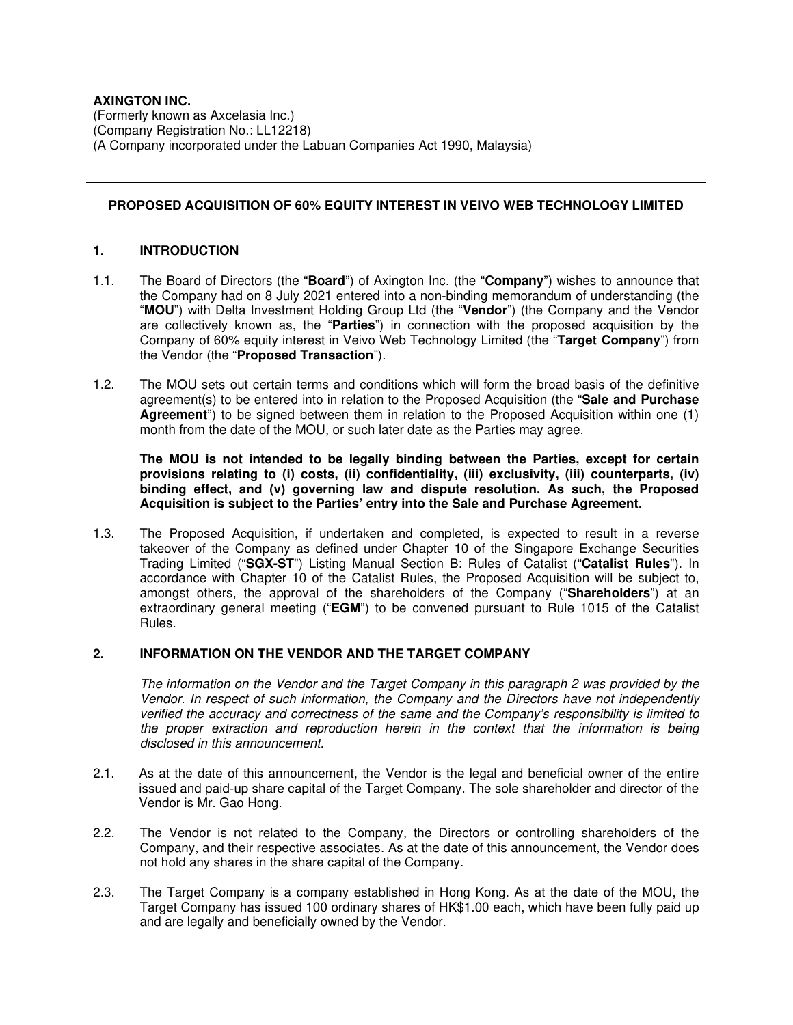# **AXINGTON INC.**

(Formerly known as Axcelasia Inc.) (Company Registration No.: LL12218) (A Company incorporated under the Labuan Companies Act 1990, Malaysia)

# **PROPOSED ACQUISITION OF 60% EQUITY INTEREST IN VEIVO WEB TECHNOLOGY LIMITED**

### **1. INTRODUCTION**

- 1.1. The Board of Directors (the "**Board**") of Axington Inc. (the "**Company**") wishes to announce that the Company had on 8 July 2021 entered into a non-binding memorandum of understanding (the "**MOU**") with Delta Investment Holding Group Ltd (the "**Vendor**") (the Company and the Vendor are collectively known as, the "**Parties**") in connection with the proposed acquisition by the Company of 60% equity interest in Veivo Web Technology Limited (the "**Target Company**") from the Vendor (the "**Proposed Transaction**").
- 1.2. The MOU sets out certain terms and conditions which will form the broad basis of the definitive agreement(s) to be entered into in relation to the Proposed Acquisition (the "**Sale and Purchase Agreement**") to be signed between them in relation to the Proposed Acquisition within one (1) month from the date of the MOU, or such later date as the Parties may agree.

**The MOU is not intended to be legally binding between the Parties, except for certain provisions relating to (i) costs, (ii) confidentiality, (iii) exclusivity, (iii) counterparts, (iv) binding effect, and (v) governing law and dispute resolution. As such, the Proposed Acquisition is subject to the Parties' entry into the Sale and Purchase Agreement.** 

1.3. The Proposed Acquisition, if undertaken and completed, is expected to result in a reverse takeover of the Company as defined under Chapter 10 of the Singapore Exchange Securities Trading Limited ("**SGX-ST**") Listing Manual Section B: Rules of Catalist ("**Catalist Rules**"). In accordance with Chapter 10 of the Catalist Rules, the Proposed Acquisition will be subject to, amongst others, the approval of the shareholders of the Company ("**Shareholders**") at an extraordinary general meeting ("**EGM**") to be convened pursuant to Rule 1015 of the Catalist Rules.

### **2. INFORMATION ON THE VENDOR AND THE TARGET COMPANY**

The information on the Vendor and the Target Company in this paragraph 2 was provided by the Vendor. In respect of such information, the Company and the Directors have not independently verified the accuracy and correctness of the same and the Company's responsibility is limited to the proper extraction and reproduction herein in the context that the information is being disclosed in this announcement.

- 2.1. As at the date of this announcement, the Vendor is the legal and beneficial owner of the entire issued and paid-up share capital of the Target Company. The sole shareholder and director of the Vendor is Mr. Gao Hong.
- 2.2. The Vendor is not related to the Company, the Directors or controlling shareholders of the Company, and their respective associates. As at the date of this announcement, the Vendor does not hold any shares in the share capital of the Company.
- 2.3. The Target Company is a company established in Hong Kong. As at the date of the MOU, the Target Company has issued 100 ordinary shares of HK\$1.00 each, which have been fully paid up and are legally and beneficially owned by the Vendor.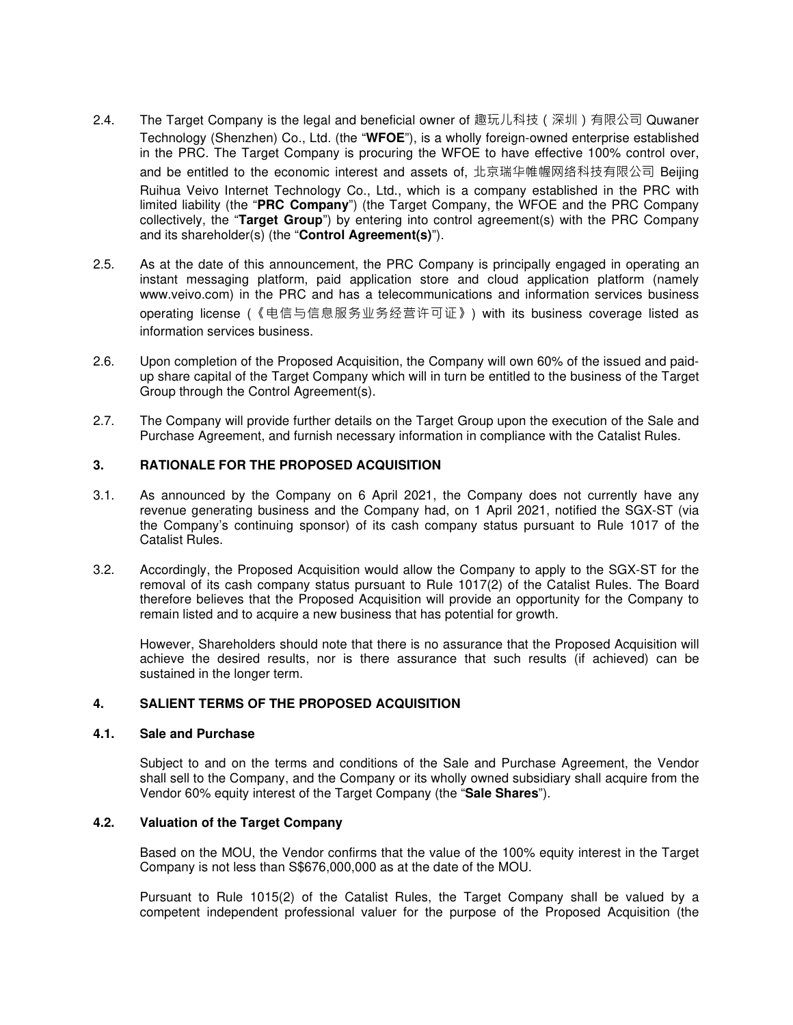- 2.4. The Target Company is the legal and beneficial owner of 趣玩儿科技(深圳)有限公司 Quwaner Technology (Shenzhen) Co., Ltd. (the "**WFOE**"), is a wholly foreign-owned enterprise established in the PRC. The Target Company is procuring the WFOE to have effective 100% control over, and be entitled to the economic interest and assets of, 北京瑞华帷幄网络科技有限公司 Beijing Ruihua Veivo Internet Technology Co., Ltd., which is a company established in the PRC with limited liability (the "**PRC Company**") (the Target Company, the WFOE and the PRC Company collectively, the "**Target Group**") by entering into control agreement(s) with the PRC Company and its shareholder(s) (the "**Control Agreement(s)**").
- 2.5. As at the date of this announcement, the PRC Company is principally engaged in operating an instant messaging platform, paid application store and cloud application platform (namely www.veivo.com) in the PRC and has a telecommunications and information services business operating license (《电信与信息服务业务经营许可证》) with its business coverage listed as information services business.
- 2.6. Upon completion of the Proposed Acquisition, the Company will own 60% of the issued and paidup share capital of the Target Company which will in turn be entitled to the business of the Target Group through the Control Agreement(s).
- 2.7. The Company will provide further details on the Target Group upon the execution of the Sale and Purchase Agreement, and furnish necessary information in compliance with the Catalist Rules.

# **3. RATIONALE FOR THE PROPOSED ACQUISITION**

- 3.1. As announced by the Company on 6 April 2021, the Company does not currently have any revenue generating business and the Company had, on 1 April 2021, notified the SGX-ST (via the Company's continuing sponsor) of its cash company status pursuant to Rule 1017 of the Catalist Rules.
- 3.2. Accordingly, the Proposed Acquisition would allow the Company to apply to the SGX-ST for the removal of its cash company status pursuant to Rule 1017(2) of the Catalist Rules. The Board therefore believes that the Proposed Acquisition will provide an opportunity for the Company to remain listed and to acquire a new business that has potential for growth.

However, Shareholders should note that there is no assurance that the Proposed Acquisition will achieve the desired results, nor is there assurance that such results (if achieved) can be sustained in the longer term.

# **4. SALIENT TERMS OF THE PROPOSED ACQUISITION**

# **4.1. Sale and Purchase**

Subject to and on the terms and conditions of the Sale and Purchase Agreement, the Vendor shall sell to the Company, and the Company or its wholly owned subsidiary shall acquire from the Vendor 60% equity interest of the Target Company (the "**Sale Shares**").

#### **4.2. Valuation of the Target Company**

Based on the MOU, the Vendor confirms that the value of the 100% equity interest in the Target Company is not less than S\$676,000,000 as at the date of the MOU.

Pursuant to Rule 1015(2) of the Catalist Rules, the Target Company shall be valued by a competent independent professional valuer for the purpose of the Proposed Acquisition (the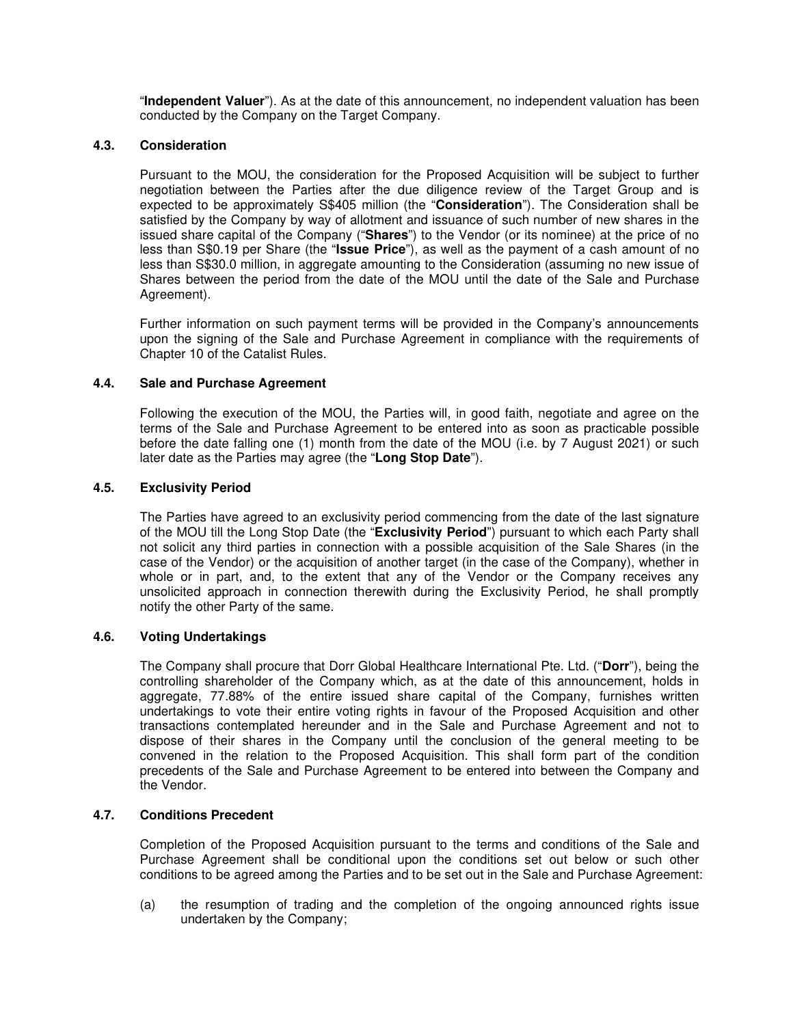"**Independent Valuer**"). As at the date of this announcement, no independent valuation has been conducted by the Company on the Target Company.

### **4.3. Consideration**

Pursuant to the MOU, the consideration for the Proposed Acquisition will be subject to further negotiation between the Parties after the due diligence review of the Target Group and is expected to be approximately S\$405 million (the "**Consideration**"). The Consideration shall be satisfied by the Company by way of allotment and issuance of such number of new shares in the issued share capital of the Company ("**Shares**") to the Vendor (or its nominee) at the price of no less than S\$0.19 per Share (the "**Issue Price**"), as well as the payment of a cash amount of no less than S\$30.0 million, in aggregate amounting to the Consideration (assuming no new issue of Shares between the period from the date of the MOU until the date of the Sale and Purchase Agreement).

Further information on such payment terms will be provided in the Company's announcements upon the signing of the Sale and Purchase Agreement in compliance with the requirements of Chapter 10 of the Catalist Rules.

# **4.4. Sale and Purchase Agreement**

Following the execution of the MOU, the Parties will, in good faith, negotiate and agree on the terms of the Sale and Purchase Agreement to be entered into as soon as practicable possible before the date falling one (1) month from the date of the MOU (i.e. by 7 August 2021) or such later date as the Parties may agree (the "**Long Stop Date**").

# **4.5. Exclusivity Period**

The Parties have agreed to an exclusivity period commencing from the date of the last signature of the MOU till the Long Stop Date (the "**Exclusivity Period**") pursuant to which each Party shall not solicit any third parties in connection with a possible acquisition of the Sale Shares (in the case of the Vendor) or the acquisition of another target (in the case of the Company), whether in whole or in part, and, to the extent that any of the Vendor or the Company receives any unsolicited approach in connection therewith during the Exclusivity Period, he shall promptly notify the other Party of the same.

#### **4.6. Voting Undertakings**

The Company shall procure that Dorr Global Healthcare International Pte. Ltd. ("**Dorr**"), being the controlling shareholder of the Company which, as at the date of this announcement, holds in aggregate, 77.88% of the entire issued share capital of the Company, furnishes written undertakings to vote their entire voting rights in favour of the Proposed Acquisition and other transactions contemplated hereunder and in the Sale and Purchase Agreement and not to dispose of their shares in the Company until the conclusion of the general meeting to be convened in the relation to the Proposed Acquisition. This shall form part of the condition precedents of the Sale and Purchase Agreement to be entered into between the Company and the Vendor.

#### **4.7. Conditions Precedent**

Completion of the Proposed Acquisition pursuant to the terms and conditions of the Sale and Purchase Agreement shall be conditional upon the conditions set out below or such other conditions to be agreed among the Parties and to be set out in the Sale and Purchase Agreement:

(a) the resumption of trading and the completion of the ongoing announced rights issue undertaken by the Company;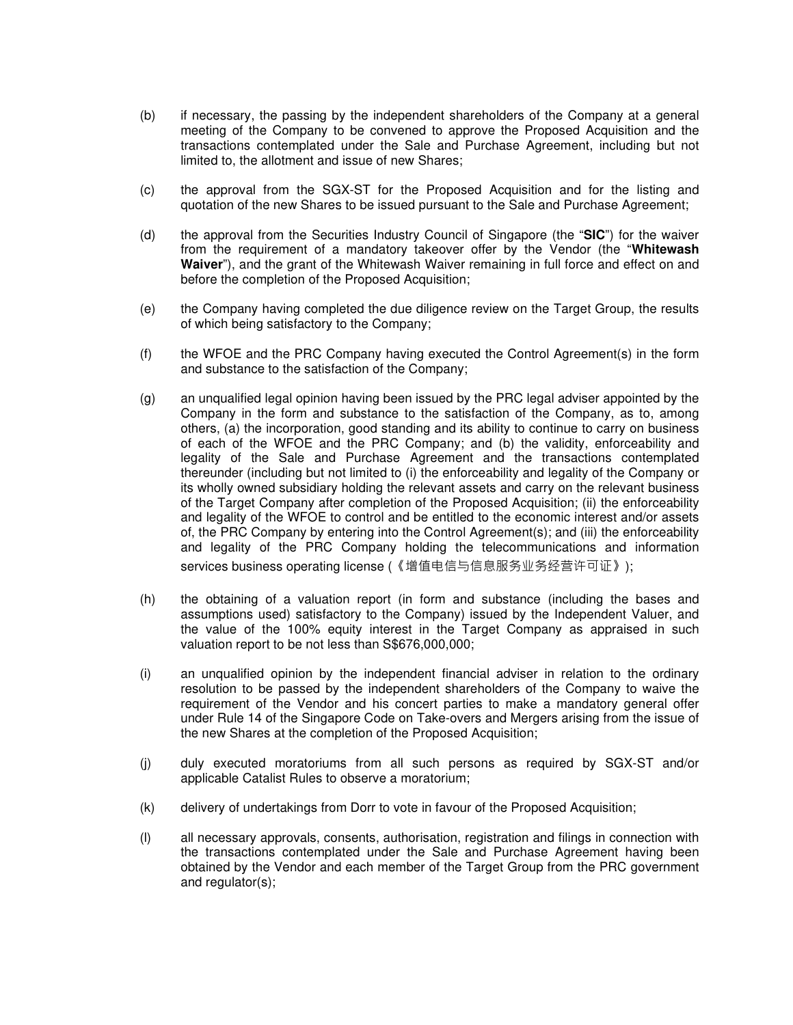- (b) if necessary, the passing by the independent shareholders of the Company at a general meeting of the Company to be convened to approve the Proposed Acquisition and the transactions contemplated under the Sale and Purchase Agreement, including but not limited to, the allotment and issue of new Shares;
- (c) the approval from the SGX-ST for the Proposed Acquisition and for the listing and quotation of the new Shares to be issued pursuant to the Sale and Purchase Agreement;
- (d) the approval from the Securities Industry Council of Singapore (the "**SIC**") for the waiver from the requirement of a mandatory takeover offer by the Vendor (the "**Whitewash Waiver**"), and the grant of the Whitewash Waiver remaining in full force and effect on and before the completion of the Proposed Acquisition;
- (e) the Company having completed the due diligence review on the Target Group, the results of which being satisfactory to the Company;
- (f) the WFOE and the PRC Company having executed the Control Agreement(s) in the form and substance to the satisfaction of the Company;
- (g) an unqualified legal opinion having been issued by the PRC legal adviser appointed by the Company in the form and substance to the satisfaction of the Company, as to, among others, (a) the incorporation, good standing and its ability to continue to carry on business of each of the WFOE and the PRC Company; and (b) the validity, enforceability and legality of the Sale and Purchase Agreement and the transactions contemplated thereunder (including but not limited to (i) the enforceability and legality of the Company or its wholly owned subsidiary holding the relevant assets and carry on the relevant business of the Target Company after completion of the Proposed Acquisition; (ii) the enforceability and legality of the WFOE to control and be entitled to the economic interest and/or assets of, the PRC Company by entering into the Control Agreement(s); and (iii) the enforceability and legality of the PRC Company holding the telecommunications and information services business operating license (《增值电信与信息服务业务经营许可证》);
- (h) the obtaining of a valuation report (in form and substance (including the bases and assumptions used) satisfactory to the Company) issued by the Independent Valuer, and the value of the 100% equity interest in the Target Company as appraised in such valuation report to be not less than S\$676,000,000;
- (i) an unqualified opinion by the independent financial adviser in relation to the ordinary resolution to be passed by the independent shareholders of the Company to waive the requirement of the Vendor and his concert parties to make a mandatory general offer under Rule 14 of the Singapore Code on Take-overs and Mergers arising from the issue of the new Shares at the completion of the Proposed Acquisition;
- (j) duly executed moratoriums from all such persons as required by SGX-ST and/or applicable Catalist Rules to observe a moratorium;
- (k) delivery of undertakings from Dorr to vote in favour of the Proposed Acquisition;
- (l) all necessary approvals, consents, authorisation, registration and filings in connection with the transactions contemplated under the Sale and Purchase Agreement having been obtained by the Vendor and each member of the Target Group from the PRC government and regulator(s);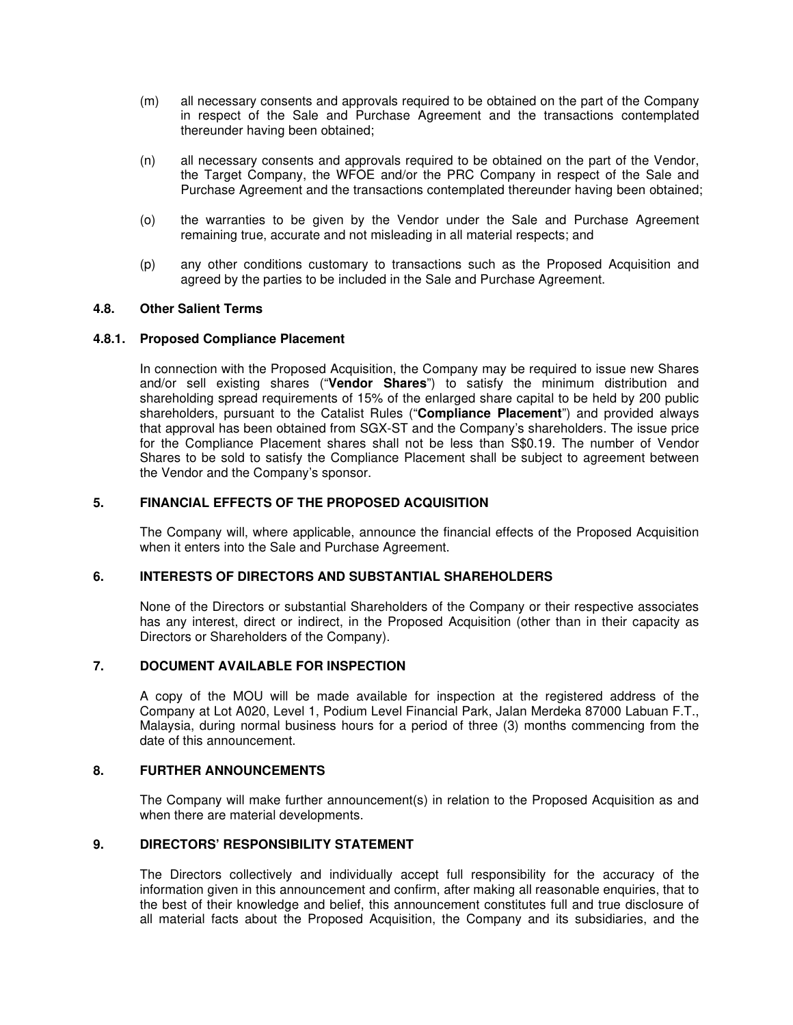- (m) all necessary consents and approvals required to be obtained on the part of the Company in respect of the Sale and Purchase Agreement and the transactions contemplated thereunder having been obtained;
- (n) all necessary consents and approvals required to be obtained on the part of the Vendor, the Target Company, the WFOE and/or the PRC Company in respect of the Sale and Purchase Agreement and the transactions contemplated thereunder having been obtained;
- (o) the warranties to be given by the Vendor under the Sale and Purchase Agreement remaining true, accurate and not misleading in all material respects; and
- (p) any other conditions customary to transactions such as the Proposed Acquisition and agreed by the parties to be included in the Sale and Purchase Agreement.

## **4.8. Other Salient Terms**

#### **4.8.1. Proposed Compliance Placement**

In connection with the Proposed Acquisition, the Company may be required to issue new Shares and/or sell existing shares ("**Vendor Shares**") to satisfy the minimum distribution and shareholding spread requirements of 15% of the enlarged share capital to be held by 200 public shareholders, pursuant to the Catalist Rules ("**Compliance Placement**") and provided always that approval has been obtained from SGX-ST and the Company's shareholders. The issue price for the Compliance Placement shares shall not be less than S\$0.19. The number of Vendor Shares to be sold to satisfy the Compliance Placement shall be subject to agreement between the Vendor and the Company's sponsor.

# **5. FINANCIAL EFFECTS OF THE PROPOSED ACQUISITION**

The Company will, where applicable, announce the financial effects of the Proposed Acquisition when it enters into the Sale and Purchase Agreement.

### **6. INTERESTS OF DIRECTORS AND SUBSTANTIAL SHAREHOLDERS**

None of the Directors or substantial Shareholders of the Company or their respective associates has any interest, direct or indirect, in the Proposed Acquisition (other than in their capacity as Directors or Shareholders of the Company).

#### **7. DOCUMENT AVAILABLE FOR INSPECTION**

A copy of the MOU will be made available for inspection at the registered address of the Company at Lot A020, Level 1, Podium Level Financial Park, Jalan Merdeka 87000 Labuan F.T., Malaysia, during normal business hours for a period of three (3) months commencing from the date of this announcement.

### **8. FURTHER ANNOUNCEMENTS**

The Company will make further announcement(s) in relation to the Proposed Acquisition as and when there are material developments.

#### **9. DIRECTORS' RESPONSIBILITY STATEMENT**

The Directors collectively and individually accept full responsibility for the accuracy of the information given in this announcement and confirm, after making all reasonable enquiries, that to the best of their knowledge and belief, this announcement constitutes full and true disclosure of all material facts about the Proposed Acquisition, the Company and its subsidiaries, and the